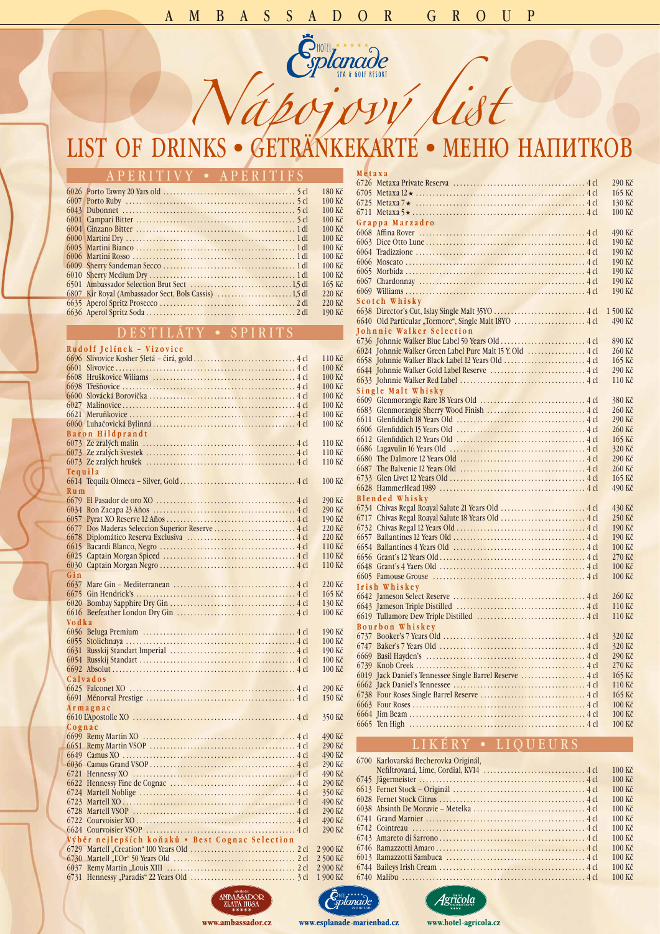# AMBASSADOR GROUP

# *Nápojový list* list of drinks•getränkekarte•меню напитков

| APERITIVY • APERITIFS |                   |
|-----------------------|-------------------|
|                       | 180 Kč            |
|                       | $100 \text{ Kc}$  |
|                       | $100 K\check{c}$  |
|                       | $100 K\check{c}$  |
|                       | $100 \text{ K}$ č |
|                       | $100 K\check{c}$  |
|                       | $100 \text{ K}$ č |
|                       | $100 \text{ K}$ č |
|                       | $100 \text{ K}$ č |
|                       | $100 K\check{c}$  |
|                       | $165 K\check{c}$  |
|                       | $220 K\check{c}$  |
|                       | $220 K\check{c}$  |
|                       | 190 Kč            |

### d e s ti l áty • s pirit s

### **Rudolf Jelínek - Vizovice**

|  |                                                                | 490 Kč                  |
|--|----------------------------------------------------------------|-------------------------|
|  |                                                                | 290 Kč                  |
|  |                                                                | 490 Kč                  |
|  |                                                                | 290 Kč                  |
|  |                                                                | 490 Kč                  |
|  |                                                                | 290 Kč                  |
|  |                                                                | 350 Kč                  |
|  |                                                                | 490 Kč                  |
|  |                                                                | 290 Kč                  |
|  |                                                                | 490 Kč                  |
|  |                                                                | 290 Kč                  |
|  | Výběr nejlepších koňaků • Best Cognac Selection                |                         |
|  | $(720 \text{ Mout})$ $\alpha$ $(100 \text{ V}_{22} \text{ m})$ | $2d - 2000 V_{\odot}^2$ |

| 6696             | 110 Kč |
|------------------|--------|
| 6601             | 100 Kč |
| 6608             | 100 Kč |
| 6698             | 100 Kč |
| 6600             | 100 Kč |
| 6027             | 100 Kč |
| 6621             | 100 Kč |
|                  | 100 Kč |
| Baron Hildprandt |        |
|                  | 110 Kč |
|                  | 110 Kč |
|                  | 110 Kč |
| Tequila          |        |
|                  | 100 Kč |
| $R$ u m          |        |
|                  | 290 Kč |
| 6034             | 290 Kč |
| 6057             | 190 Kč |
| 6677             | 220 Kč |
| 6678             | 220 Kč |
| 6615             | 110 Kč |
| 6025             | 110 Kč |
| 6030             | 110 Kč |
| Gin              |        |
| 6637             | 220 Kč |
| 6675             | 165 Kč |
| 6020             | 130 Kč |
|                  | 100 Kč |
| Vodka            |        |
|                  | 190 Kč |
| 6055             | 100 Kč |
| 6631             | 190 Kč |
| 6054             | 100 Kč |
|                  | 100 Kč |
| Calvados         |        |
|                  | 290 Kč |
|                  | 150 Kč |

### **A r m a g n a c**

| _______ |  |
|---------|--|
|         |  |

#### **C o g n a c**







www.ambassador.cz

www.esplanade-marienbad.cz

www.hotel-agricola.cz

| Metaxa                                                   |                          |
|----------------------------------------------------------|--------------------------|
|                                                          | 290 Kč                   |
|                                                          | 165 Kč                   |
|                                                          | 130 Kč                   |
|                                                          | 100 Kč                   |
| Grappa Marzadro                                          |                          |
|                                                          | 490 Kč                   |
|                                                          | 190 Kč                   |
|                                                          | 190 Kč                   |
|                                                          | 190 Kč                   |
|                                                          | 190 Kč                   |
|                                                          | 190 Kč                   |
|                                                          | 190 Kč                   |
| Scotch Whisky                                            |                          |
|                                                          | 1 500 Kč                 |
|                                                          | 490 Kč                   |
| Johnnie Walker Selection                                 |                          |
| 6736 Johnnie Walker Blue Label 50 Years Old  4 cl        | 890 Kč                   |
|                                                          | 260 Kč                   |
|                                                          | 165 Kč                   |
|                                                          | 290 Kč                   |
|                                                          | 110 Kč                   |
| Single Malt Whisky                                       |                          |
|                                                          | 380 Kč                   |
|                                                          | 260 Kč                   |
|                                                          | 290 Kč                   |
|                                                          | 260 Kč                   |
|                                                          | 165 Kč                   |
|                                                          | 320 Kč                   |
|                                                          | 290 Kč                   |
|                                                          | 260 Kč                   |
|                                                          | 165 Kč                   |
|                                                          | 490 Kč                   |
| <b>Blended Whisky</b>                                    |                          |
|                                                          | 430 Kč                   |
| 6717 Chivas Regal Roayal Salute 18 Years Old  4 cl       | 250 Kč                   |
|                                                          | 190 Kč                   |
|                                                          | 190 Kč                   |
|                                                          | 100 Kč                   |
|                                                          | 270 Kč                   |
|                                                          | 100 Kč                   |
|                                                          | 100 Kč                   |
| Irish Whiskey                                            |                          |
|                                                          | 260 Kč                   |
|                                                          | 110 Kč                   |
|                                                          | 110 Kč                   |
| Bourbon Whiskey                                          |                          |
|                                                          | 320 Kč                   |
|                                                          | 320 Kč                   |
|                                                          | 290 Kč                   |
|                                                          | 270 Kč                   |
| 6019 Jack Daniel's Tennessee Single Barrel Reserve  4 cl | 165 Kč                   |
|                                                          | 110 Kč                   |
|                                                          | 165 Kč                   |
| $6662$ Four Desse                                        | $100 V_{\odot}^{\prime}$ |

# LIKÉRY • LIQUEURS

| 6700 Karlovarská Becherovka Originál, |                    |
|---------------------------------------|--------------------|
|                                       | $100 K\check{c}$   |
|                                       | $100 K\check{c}$   |
|                                       | $100K\check{c}$    |
|                                       | $100K\check{c}$    |
|                                       | $100 \text{ K}$ č  |
|                                       | $100K\check{c}$    |
|                                       | 100 K <sub>c</sub> |
|                                       | $100 K\check{c}$   |
|                                       | 100 K <sub>c</sub> |
|                                       | $100K\check{c}$    |
|                                       | $100K\check{c}$    |
|                                       | $100K\check{c}$    |